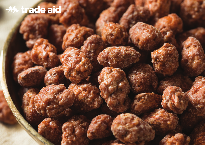## **\*\*\* trade aid**